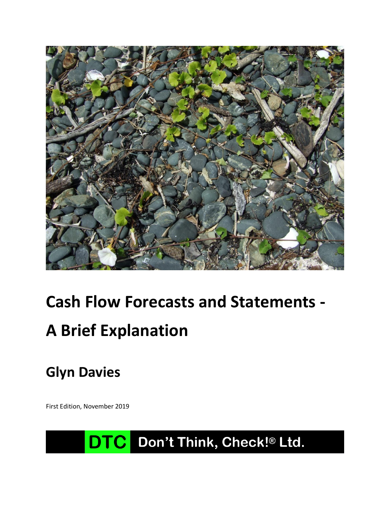

# **Cash Flow Forecasts and Statements - A Brief Explanation**

**Glyn Davies**

First Edition, November 2019

# DTC Don't Think, Check!® Ltd.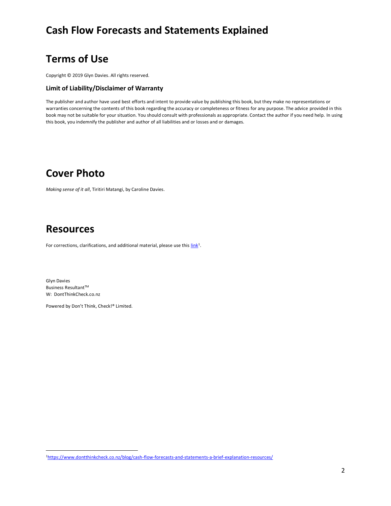## **Terms of Use**

Copyright © 2019 Glyn Davies. All rights reserved.

#### **Limit of Liability/Disclaimer of Warranty**

The publisher and author have used best efforts and intent to provide value by publishing this book, but they make no representations or warranties concerning the contents of this book regarding the accuracy or completeness or fitness for any purpose. The advice provided in this book may not be suitable for your situation. You should consult with professionals as appropriate. Contact the author if you need help. In using this book, you indemnify the publisher and author of all liabilities and or losses and or damages.

#### **Cover Photo**

*Making sense of it all*, Tiritiri Matangi, by Caroline Davies.

## **Resources**

For corrections, clarifications, and additional material, please use this  $\underline{\text{link}}^1$ .

Glyn Davies Business Resultant $\mathsf{T}^{\mathsf{M}}$ W: DontThinkCheck.co.nz

Powered by Don't Think, Check!® Limited.

<sup>1</sup><https://www.dontthinkcheck.co.nz/blog/cash-flow-forecasts-and-statements-a-brief-explanation-resources/>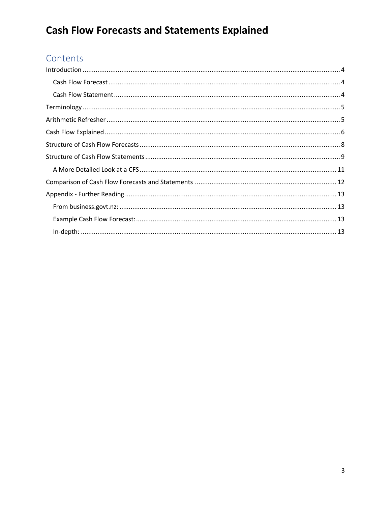## Contents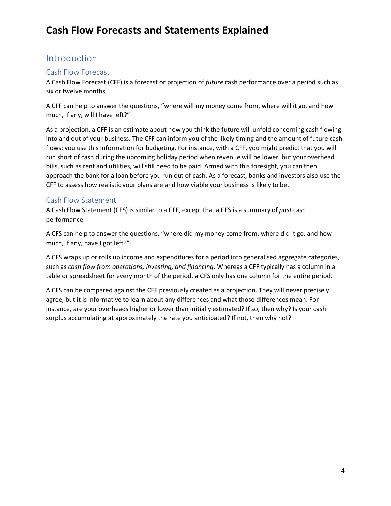#### <span id="page-3-0"></span>Introduction

#### <span id="page-3-1"></span>Cash Flow Forecast

A Cash Flow Forecast (CFF) is a forecast or projection of *future* cash performance over a period such as six or twelve months.

A CFF can help to answer the questions, "where will my money come from, where will it go, and how much, if any, will I have left?"

As a projection, a CFF is an estimate about how you think the future will unfold concerning cash flowing into and out of your business. The CFF can inform you of the likely timing and the amount of future cash flows; you use this information for budgeting. For instance, with a CFF, you might predict that you will run short of cash during the upcoming holiday period when revenue will be lower, but your overhead bills, such as rent and utilities, will still need to be paid. Armed with this foresight, you can then approach the bank for a loan before you run out of cash. As a forecast, banks and investors also use the CFF to assess how realistic your plans are and how viable your business is likely to be.

#### <span id="page-3-2"></span>Cash Flow Statement

A Cash Flow Statement (CFS) is similar to a CFF, except that a CFS is a summary of *past* cash performance.

A CFS can help to answer the questions, "where did my money come from, where did it go, and how much, if any, have I got left?"

A CFS wraps up or rolls up income and expenditures for a period into generalised aggregate categories, such as *cash flow from operations, investing, and financing*. Whereas a CFF typically has a column in a table or spreadsheet for every month of the period, a CFS only has one column for the entire period.

A CFS can be compared against the CFF previously created as a projection. They will never precisely agree, but it is informative to learn about any differences and what those differences mean. For instance, are your overheads higher or lower than initially estimated? If so, then why? Is your cash surplus accumulating at approximately the rate you anticipated? If not, then why not?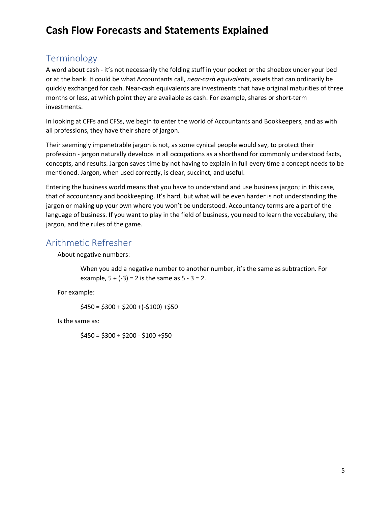#### <span id="page-4-0"></span>Terminology

A word about cash - it's not necessarily the folding stuff in your pocket or the shoebox under your bed or at the bank. It could be what Accountants call, *near-cash equivalents*, assets that can ordinarily be quickly exchanged for cash. Near-cash equivalents are investments that have original maturities of three months or less, at which point they are available as cash. For example, shares or short-term investments.

In looking at CFFs and CFSs, we begin to enter the world of Accountants and Bookkeepers, and as with all professions, they have their share of jargon.

Their seemingly impenetrable jargon is not, as some cynical people would say, to protect their profession - jargon naturally develops in all occupations as a shorthand for commonly understood facts, concepts, and results. Jargon saves time by not having to explain in full every time a concept needs to be mentioned. Jargon, when used correctly, is clear, succinct, and useful.

Entering the business world means that you have to understand and use business jargon; in this case, that of accountancy and bookkeeping. It's hard, but what will be even harder is not understanding the jargon or making up your own where you won't be understood. Accountancy terms are a part of the language of business. If you want to play in the field of business, you need to learn the vocabulary, the jargon, and the rules of the game.

#### <span id="page-4-1"></span>Arithmetic Refresher

About negative numbers:

When you add a negative number to another number, it's the same as subtraction. For example,  $5 + (-3) = 2$  is the same as  $5 - 3 = 2$ .

For example:

 $$450 = $300 + $200 + (-$100) + $50$ 

Is the same as:

 $$450 = $300 + $200 - $100 + $50$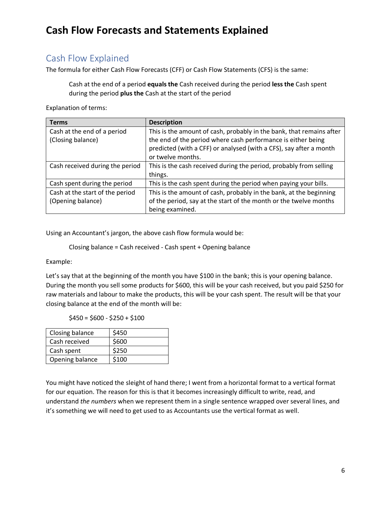#### <span id="page-5-0"></span>Cash Flow Explained

The formula for either Cash Flow Forecasts (CFF) or Cash Flow Statements (CFS) is the same:

Cash at the end of a period **equals the** Cash received during the period **less the** Cash spent during the period **plus the** Cash at the start of the period

Explanation of terms:

| <b>Terms</b>                    | <b>Description</b>                                                   |
|---------------------------------|----------------------------------------------------------------------|
| Cash at the end of a period     | This is the amount of cash, probably in the bank, that remains after |
| (Closing balance)               | the end of the period where cash performance is either being         |
|                                 | predicted (with a CFF) or analysed (with a CFS), say after a month   |
|                                 | or twelve months.                                                    |
| Cash received during the period | This is the cash received during the period, probably from selling   |
|                                 | things.                                                              |
| Cash spent during the period    | This is the cash spent during the period when paying your bills.     |
| Cash at the start of the period | This is the amount of cash, probably in the bank, at the beginning   |
| (Opening balance)               | of the period, say at the start of the month or the twelve months    |
|                                 | being examined.                                                      |

Using an Accountant's jargon, the above cash flow formula would be:

```
Closing balance = Cash received - Cash spent + Opening balance
```
Example:

Let's say that at the beginning of the month you have \$100 in the bank; this is your opening balance. During the month you sell some products for \$600, this will be your cash received, but you paid \$250 for raw materials and labour to make the products, this will be your cash spent. The result will be that your closing balance at the end of the month will be:

 $$450 = $600 - $250 + $100$ 

| Closing balance | \$450 |
|-----------------|-------|
| Cash received   | \$600 |
| Cash spent      | \$250 |
| Opening balance | \$100 |

You might have noticed the sleight of hand there; I went from a horizontal format to a vertical format for our equation. The reason for this is that it becomes increasingly difficult to write, read, and understand *the numbers* when we represent them in a single sentence wrapped over several lines, and it's something we will need to get used to as Accountants use the vertical format as well.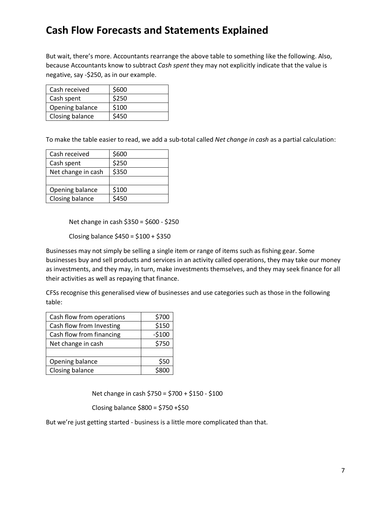But wait, there's more. Accountants rearrange the above table to something like the following. Also, because Accountants know to subtract *Cash spent* they may not explicitly indicate that the value is negative, say -\$250, as in our example.

| Cash received   | \$600 |
|-----------------|-------|
| Cash spent      | \$250 |
| Opening balance | \$100 |
| Closing balance | \$450 |

To make the table easier to read, we add a sub-total called *Net change in cash* as a partial calculation:

| Cash received      | \$600 |
|--------------------|-------|
| Cash spent         | \$250 |
| Net change in cash | \$350 |
|                    |       |
| Opening balance    | \$100 |
| Closing balance    | 5450  |

Net change in cash \$350 = \$600 - \$250

Closing balance  $$450 = $100 + $350$ 

Businesses may not simply be selling a single item or range of items such as fishing gear. Some businesses buy and sell products and services in an activity called operations, they may take our money as investments, and they may, in turn, make investments themselves, and they may seek finance for all their activities as well as repaying that finance.

CFSs recognise this generalised view of businesses and use categories such as those in the following table:

| Cash flow from operations | \$700   |
|---------------------------|---------|
| Cash flow from Investing  | \$150   |
| Cash flow from financing  | $-5100$ |
| Net change in cash        | \$750   |
|                           |         |
| Opening balance           | \$50    |
| Closing balance           |         |

Net change in cash \$750 = \$700 + \$150 - \$100

Closing balance \$800 = \$750 +\$50

But we're just getting started - business is a little more complicated than that.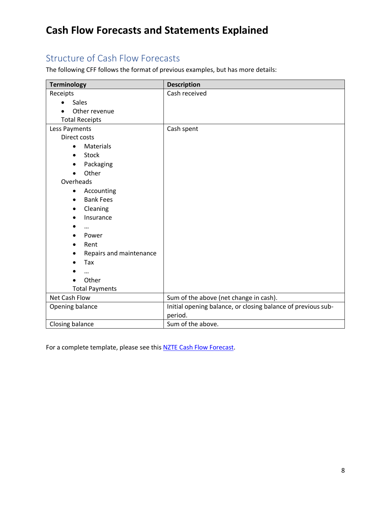#### <span id="page-7-0"></span>Structure of Cash Flow Forecasts

The following CFF follows the format of previous examples, but has more details:

| <b>Terminology</b>            | <b>Description</b>                                           |
|-------------------------------|--------------------------------------------------------------|
| Receipts                      | Cash received                                                |
| <b>Sales</b>                  |                                                              |
| Other revenue                 |                                                              |
| <b>Total Receipts</b>         |                                                              |
| Less Payments                 | Cash spent                                                   |
| Direct costs                  |                                                              |
| <b>Materials</b><br>$\bullet$ |                                                              |
| <b>Stock</b><br>$\bullet$     |                                                              |
| Packaging<br>$\bullet$        |                                                              |
| Other                         |                                                              |
| Overheads                     |                                                              |
| Accounting<br>$\bullet$       |                                                              |
| <b>Bank Fees</b>              |                                                              |
| Cleaning                      |                                                              |
| Insurance<br>$\bullet$        |                                                              |
|                               |                                                              |
| Power                         |                                                              |
| Rent<br>$\bullet$             |                                                              |
| Repairs and maintenance       |                                                              |
| Tax                           |                                                              |
| $\ddotsc$                     |                                                              |
| Other                         |                                                              |
| <b>Total Payments</b>         |                                                              |
| Net Cash Flow                 | Sum of the above (net change in cash).                       |
| Opening balance               | Initial opening balance, or closing balance of previous sub- |
|                               | period.                                                      |
| Closing balance               | Sum of the above.                                            |

For a complete template, please see thi[s NZTE Cash Flow Forecast.](https://www.nzte.govt.nz/-/media/NZTE/Downloads/Tools-and-templates/Export-Essentials-tools-and-templates/Cashflow-forecast.xls)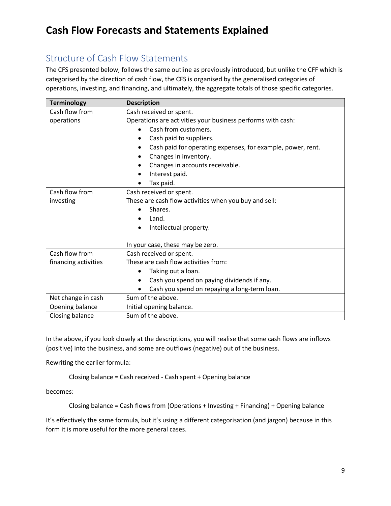## <span id="page-8-0"></span>Structure of Cash Flow Statements

The CFS presented below, follows the same outline as previously introduced, but unlike the CFF which is categorised by the direction of cash flow, the CFS is organised by the generalised categories of operations, investing, and financing, and ultimately, the aggregate totals of those specific categories.

| <b>Terminology</b>   | <b>Description</b>                                          |
|----------------------|-------------------------------------------------------------|
| Cash flow from       | Cash received or spent.                                     |
| operations           | Operations are activities your business performs with cash: |
|                      | Cash from customers.                                        |
|                      | Cash paid to suppliers.                                     |
|                      | Cash paid for operating expenses, for example, power, rent. |
|                      | Changes in inventory.<br>$\bullet$                          |
|                      | Changes in accounts receivable.                             |
|                      | Interest paid.                                              |
|                      | Tax paid.                                                   |
| Cash flow from       | Cash received or spent.                                     |
| investing            | These are cash flow activities when you buy and sell:       |
|                      | Shares.                                                     |
|                      | Land.                                                       |
|                      | Intellectual property.<br>$\bullet$                         |
|                      |                                                             |
|                      | In your case, these may be zero.                            |
| Cash flow from       | Cash received or spent.                                     |
| financing activities | These are cash flow activities from:                        |
|                      | Taking out a loan.                                          |
|                      | Cash you spend on paying dividends if any.<br>$\bullet$     |
|                      | Cash you spend on repaying a long-term loan.                |
| Net change in cash   | Sum of the above.                                           |
| Opening balance      | Initial opening balance.                                    |
| Closing balance      | Sum of the above.                                           |

In the above, if you look closely at the descriptions, you will realise that some cash flows are inflows (positive) into the business, and some are outflows (negative) out of the business.

Rewriting the earlier formula:

Closing balance = Cash received - Cash spent + Opening balance

becomes:

Closing balance = Cash flows from (Operations + Investing + Financing) + Opening balance

It's effectively the same formula, but it's using a different categorisation (and jargon) because in this form it is more useful for the more general cases.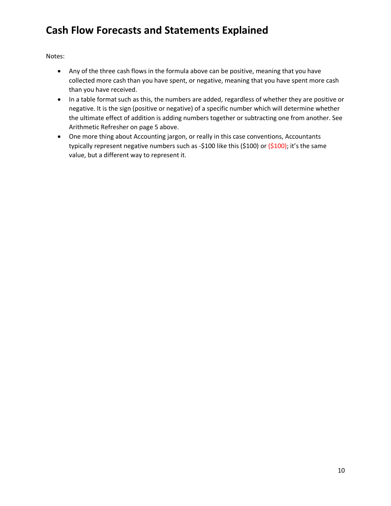Notes:

- Any of the three cash flows in the formula above can be positive, meaning that you have collected more cash than you have spent, or negative, meaning that you have spent more cash than you have received.
- In a table format such as this, the numbers are added, regardless of whether they are positive or negative. It is the sign (positive or negative) of a specific number which will determine whether the ultimate effect of addition is adding numbers together or subtracting one from another. See [Arithmetic](#page-4-1) Refresher on page [5](#page-4-1) above.
- One more thing about Accounting jargon, or really in this case conventions, Accountants typically represent negative numbers such as -\$100 like this (\$100) or (\$100); it's the same value, but a different way to represent it.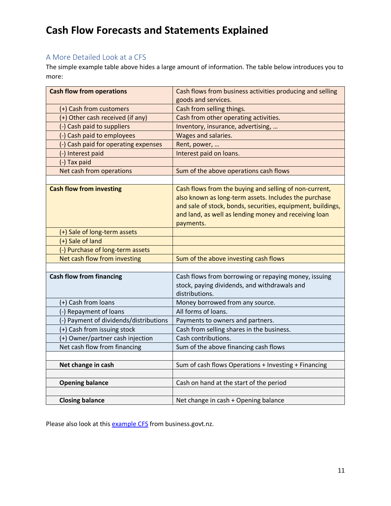#### <span id="page-10-0"></span>A More Detailed Look at a CFS

The simple example table above hides a large amount of information. The table below introduces you to more:

| <b>Cash flow from operations</b>       | Cash flows from business activities producing and selling   |  |
|----------------------------------------|-------------------------------------------------------------|--|
|                                        | goods and services.                                         |  |
| (+) Cash from customers                | Cash from selling things.                                   |  |
| (+) Other cash received (if any)       | Cash from other operating activities.                       |  |
| (-) Cash paid to suppliers             | Inventory, insurance, advertising,                          |  |
| (-) Cash paid to employees             | Wages and salaries.                                         |  |
| (-) Cash paid for operating expenses   | Rent, power,                                                |  |
| (-) Interest paid                      | Interest paid on loans.                                     |  |
| (-) Tax paid                           |                                                             |  |
| Net cash from operations               | Sum of the above operations cash flows                      |  |
|                                        |                                                             |  |
| <b>Cash flow from investing</b>        | Cash flows from the buying and selling of non-current,      |  |
|                                        | also known as long-term assets. Includes the purchase       |  |
|                                        | and sale of stock, bonds, securities, equipment, buildings, |  |
|                                        | and land, as well as lending money and receiving loan       |  |
|                                        | payments.                                                   |  |
| (+) Sale of long-term assets           |                                                             |  |
| (+) Sale of land                       |                                                             |  |
| (-) Purchase of long-term assets       |                                                             |  |
| Net cash flow from investing           | Sum of the above investing cash flows                       |  |
|                                        |                                                             |  |
| <b>Cash flow from financing</b>        | Cash flows from borrowing or repaying money, issuing        |  |
|                                        | stock, paying dividends, and withdrawals and                |  |
|                                        | distributions.                                              |  |
| (+) Cash from loans                    | Money borrowed from any source.                             |  |
| (-) Repayment of loans                 | All forms of loans.                                         |  |
| (-) Payment of dividends/distributions | Payments to owners and partners.                            |  |
| (+) Cash from issuing stock            | Cash from selling shares in the business.                   |  |
| (+) Owner/partner cash injection       | Cash contributions.                                         |  |
| Net cash flow from financing           | Sum of the above financing cash flows                       |  |
|                                        |                                                             |  |
| Net change in cash                     | Sum of cash flows Operations + Investing + Financing        |  |
|                                        |                                                             |  |
| <b>Opening balance</b>                 | Cash on hand at the start of the period                     |  |
|                                        |                                                             |  |
| <b>Closing balance</b>                 | Net change in cash + Opening balance                        |  |

Please also look at this **example CFS** from business.govt.nz.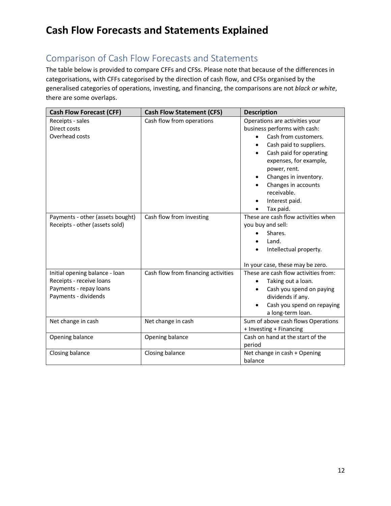## <span id="page-11-0"></span>Comparison of Cash Flow Forecasts and Statements

The table below is provided to compare CFFs and CFSs. Please note that because of the differences in categorisations, with CFFs categorised by the direction of cash flow, and CFSs organised by the generalised categories of operations, investing, and financing, the comparisons are not *black or white*, there are some overlaps.

| <b>Cash Flow Forecast (CFF)</b>                                                                              | <b>Cash Flow Statement (CFS)</b>    | <b>Description</b>                                                                                                                                                                                                                                                                   |
|--------------------------------------------------------------------------------------------------------------|-------------------------------------|--------------------------------------------------------------------------------------------------------------------------------------------------------------------------------------------------------------------------------------------------------------------------------------|
| Receipts - sales<br>Direct costs<br>Overhead costs                                                           | Cash flow from operations           | Operations are activities your<br>business performs with cash:<br>Cash from customers.<br>Cash paid to suppliers.<br>Cash paid for operating<br>expenses, for example,<br>power, rent.<br>Changes in inventory.<br>Changes in accounts<br>receivable.<br>Interest paid.<br>Tax paid. |
| Payments - other (assets bought)<br>Receipts - other (assets sold)                                           | Cash flow from investing            | These are cash flow activities when<br>you buy and sell:<br>Shares.<br>Land.<br>Intellectual property.<br>In your case, these may be zero.                                                                                                                                           |
| Initial opening balance - loan<br>Receipts - receive loans<br>Payments - repay loans<br>Payments - dividends | Cash flow from financing activities | These are cash flow activities from:<br>Taking out a loan.<br>Cash you spend on paying<br>dividends if any.<br>Cash you spend on repaying<br>a long-term loan.                                                                                                                       |
| Net change in cash                                                                                           | Net change in cash                  | Sum of above cash flows Operations<br>+ Investing + Financing                                                                                                                                                                                                                        |
| Opening balance                                                                                              | Opening balance                     | Cash on hand at the start of the<br>period                                                                                                                                                                                                                                           |
| Closing balance                                                                                              | Closing balance                     | Net change in cash + Opening<br>balance                                                                                                                                                                                                                                              |